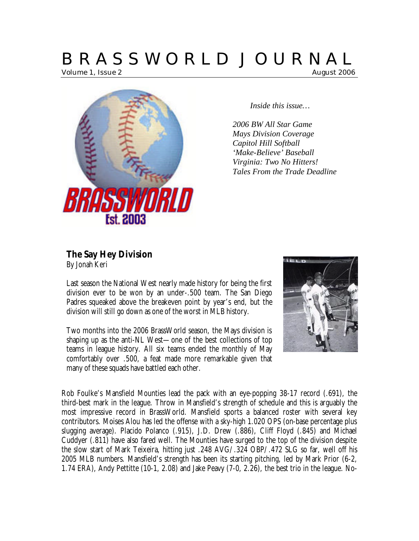# B R A S S W O R L D J O U R N A L Volume 1, Issue 2 August 2006



*Inside this issue…*

*2006 BW All Star Game Mays Division Coverage Capitol Hill Softball 'Make-Believe' Baseball Virginia: Two No Hitters! Tales From the Trade Deadline*

### **The Say Hey Division**

By Jonah Keri

Last season the National West nearly made history for being the first division ever to be won by an under-.500 team. The San Diego Padres squeaked above the breakeven point by year's end, but the division will still go down as one of the worst in MLB history.

Two months into the 2006 BrassWorld season, the Mays division is shaping up as the anti-NL West— one of the best collections of top teams in league history. All six teams ended the monthly of May comfortably over .500, a feat made more remarkable given that many of these squads have battled each other.



Rob Foulke's Mansfield Mounties lead the pack with an eye-popping 38-17 record (.691), the third-best mark in the league. Throw in Mansfield's strength of schedule and this is arguably the most impressive record in BrassWorld. Mansfield sports a balanced roster with several key contributors. Moises Alou has led the offense with a sky-high 1.020 OPS (on-base percentage plus slugging average). Placido Polanco (.915), J.D. Drew (.886), Cliff Floyd (.845) and Michael Cuddyer (.811) have also fared well. The Mounties have surged to the top of the division despite the slow start of Mark Teixeira, hitting just .248 AVG/.324 OBP/.472 SLG so far, well off his 2005 MLB numbers. Mansfield's strength has been its starting pitching, led by Mark Prior (6-2, 1.74 ERA), Andy Pettitte (10-1, 2.08) and Jake Peavy (7-0, 2.26), the best trio in the league. No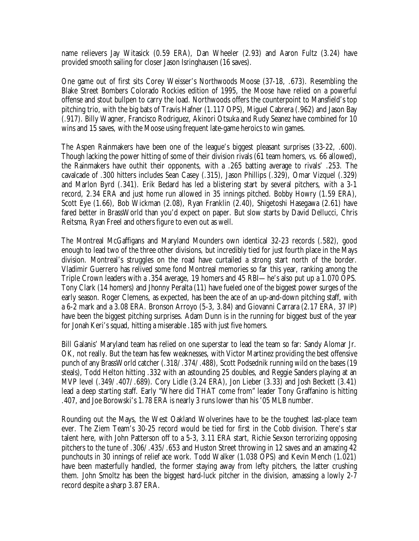name relievers Jay Witasick (0.59 ERA), Dan Wheeler (2.93) and Aaron Fultz (3.24) have provided smooth sailing for closer Jason Isringhausen (16 saves).

One game out of first sits Corey Weisser's Northwoods Moose (37-18, .673). Resembling the Blake Street Bombers Colorado Rockies edition of 1995, the Moose have relied on a powerful offense and stout bullpen to carry the load. Northwoods offers the counterpoint to Mansfield's top pitching trio, with the big bats of Travis Hafner (1.117 OPS), Miguel Cabrera (.962) and Jason Bay (.917). Billy Wagner, Francisco Rodriguez, Akinori Otsuka and Rudy Seanez have combined for 10 wins and 15 saves, with the Moose using frequent late-game heroics to win games.

The Aspen Rainmakers have been one of the league's biggest pleasant surprises (33-22, .600). Though lacking the power hitting of some of their division rivals (61 team homers, vs. 66 allowed), the Rainmakers have outhit their opponents, with a .265 batting average to rivals' .253. The cavalcade of .300 hitters includes Sean Casey (.315), Jason Phillips (.329), Omar Vizquel (.329) and Marlon Byrd (.341). Erik Bedard has led a blistering start by several pitchers, with a 3-1 record, 2.34 ERA and just home run allowed in 35 innings pitched. Bobby Howry (1.59 ERA), Scott Eye (1.66), Bob Wickman (2.08), Ryan Franklin (2.40), Shigetoshi Hasegawa (2.61) have fared better in BrassWorld than you'd expect on paper. But slow starts by David Dellucci, Chris Reitsma, Ryan Freel and others figure to even out as well.

The Montreal McGaffigans and Maryland Mounders own identical 32-23 records (.582), good enough to lead two of the three other divisions, but incredibly tied for just fourth place in the Mays division. Montreal's struggles on the road have curtailed a strong start north of the border. Vladimir Guerrero has relived some fond Montreal memories so far this year, ranking among the Triple Crown leaders with a .354 average, 19 homers and 45 RBI— he's also put up a 1.070 OPS. Tony Clark (14 homers) and Jhonny Peralta (11) have fueled one of the biggest power surges of the early season. Roger Clemens, as expected, has been the ace of an up-and-down pitching staff, with a 6-2 mark and a 3.08 ERA. Bronson Arroyo (5-3, 3.84) and Giovanni Carrara (2.17 ERA, 37 IP) have been the biggest pitching surprises. Adam Dunn is in the running for biggest bust of the year for Jonah Keri's squad, hitting a miserable .185 with just five homers.

Bill Galanis' Maryland team has relied on one superstar to lead the team so far: Sandy Alomar Jr. OK, not really. But the team has few weaknesses, with Victor Martinez providing the best offensive punch of any BrassWorld catcher (.318/.374/.488), Scott Podsednik running wild on the bases (19 steals), Todd Helton hitting .332 with an astounding 25 doubles, and Reggie Sanders playing at an MVP level (.349/.407/.689). Cory Lidle (3.24 ERA), Jon Lieber (3.33) and Josh Beckett (3.41) lead a deep starting staff. Early "Where did THAT come from" leader Tony Graffanino is hitting .407, and Joe Borowski's 1.78 ERA is nearly 3 runs lower than his '05 MLB number.

Rounding out the Mays, the West Oakland Wolverines have to be the toughest last-place team ever. The Ziem Team's 30-25 record would be tied for first in the Cobb division. There's star talent here, with John Patterson off to a 5-3, 3.11 ERA start, Richie Sexson terrorizing opposing pitchers to the tune of .306/.435/.653 and Huston Street throwing in 12 saves and an amazing 42 punchouts in 30 innings of relief ace work. Todd Walker (1.038 OPS) and Kevin Mench (1.021) have been masterfully handled, the former staying away from lefty pitchers, the latter crushing them. John Smoltz has been the biggest hard-luck pitcher in the division, amassing a lowly 2-7 record despite a sharp 3.87 ERA.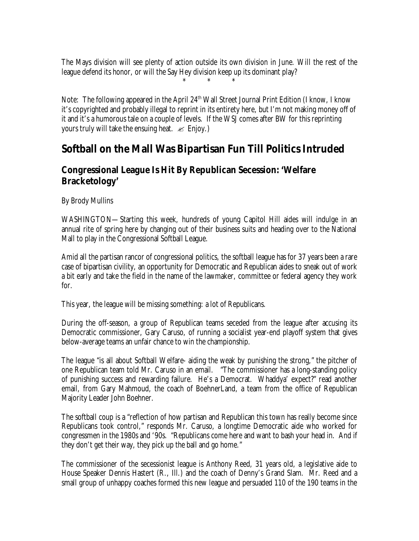The Mays division will see plenty of action outside its own division in June. Will the rest of the league defend its honor, or will the Say Hey division keep up its dominant play?

\* \* \*

Note: The following appeared in the April  $24<sup>th</sup>$  Wall Street Journal Print Edition (I know, I know it's copyrighted and probably illegal to reprint in its entirety here, but I'm not making money off of it and it's a humorous tale on a couple of levels. If the WSJ comes after BW for this reprinting yours truly will take the ensuing heat.  $\ll$  Enjoy.)

## **Softball on the Mall Was Bipartisan Fun Till Politics Intruded**

## **Congressional League Is Hit By Republican Secession: 'Welfare Bracketology'**

By Brody Mullins

WASHINGTON— Starting this week, hundreds of young Capitol Hill aides will indulge in an annual rite of spring here by changing out of their business suits and heading over to the National Mall to play in the Congressional Softball League.

Amid all the partisan rancor of congressional politics, the softball league has for 37 years been a rare case of bipartisan civility, an opportunity for Democratic and Republican aides to sneak out of work a bit early and take the field in the name of the lawmaker, committee or federal agency they work for.

This year, the league will be missing something: a lot of Republicans.

During the off-season, a group of Republican teams seceded from the league after accusing its Democratic commissioner, Gary Caruso, of running a socialist year-end playoff system that gives below-average teams an unfair chance to win the championship.

The league "is all about Softball Welfare- aiding the weak by punishing the strong," the pitcher of one Republican team told Mr. Caruso in an email. "The commissioner has a long-standing policy of punishing success and rewarding failure. He's a Democrat. Whaddya' expect?" read another email, from Gary Mahmoud, the coach of BoehnerLand, a team from the office of Republican Majority Leader John Boehner.

The softball coup is a "reflection of how partisan and Republican this town has really become since Republicans took control," responds Mr. Caruso, a longtime Democratic aide who worked for congressmen in the 1980s and '90s. "Republicans come here and want to bash your head in. And if they don't get their way, they pick up the ball and go home."

The commissioner of the secessionist league is Anthony Reed, 31 years old, a legislative aide to House Speaker Dennis Hastert (R., Ill.) and the coach of Denny's Grand Slam. Mr. Reed and a small group of unhappy coaches formed this new league and persuaded 110 of the 190 teams in the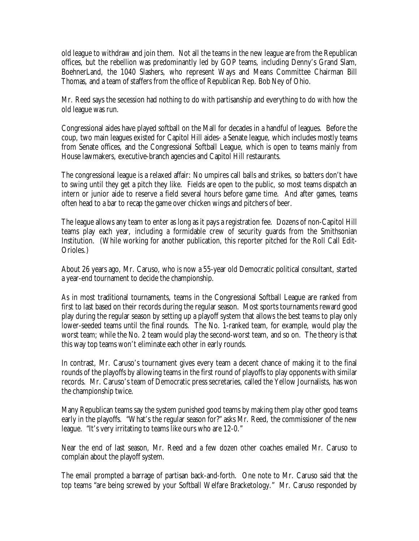old league to withdraw and join them. Not all the teams in the new league are from the Republican offices, but the rebellion was predominantly led by GOP teams, including Denny's Grand Slam, BoehnerLand, the 1040 Slashers, who represent Ways and Means Committee Chairman Bill Thomas, and a team of staffers from the office of Republican Rep. Bob Ney of Ohio.

Mr. Reed says the secession had nothing to do with partisanship and everything to do with how the old league was run.

Congressional aides have played softball on the Mall for decades in a handful of leagues. Before the coup, two main leagues existed for Capitol Hill aides- a Senate league, which includes mostly teams from Senate offices, and the Congressional Softball League, which is open to teams mainly from House lawmakers, executive-branch agencies and Capitol Hill restaurants.

The congressional league is a relaxed affair: No umpires call balls and strikes, so batters don't have to swing until they get a pitch they like. Fields are open to the public, so most teams dispatch an intern or junior aide to reserve a field several hours before game time. And after games, teams often head to a bar to recap the game over chicken wings and pitchers of beer.

The league allows any team to enter as long as it pays a registration fee. Dozens of non-Capitol Hill teams play each year, including a formidable crew of security guards from the Smithsonian Institution. (While working for another publication, this reporter pitched for the Roll Call Edit-Orioles.)

About 26 years ago, Mr. Caruso, who is now a 55-year old Democratic political consultant, started a year-end tournament to decide the championship.

As in most traditional tournaments, teams in the Congressional Softball League are ranked from first to last based on their records during the regular season. Most sports tournaments reward good play during the regular season by setting up a playoff system that allows the best teams to play only lower-seeded teams until the final rounds. The No. 1-ranked team, for example, would play the worst team; while the No. 2 team would play the second-worst team, and so on. The theory is that this way top teams won't eliminate each other in early rounds.

In contrast, Mr. Caruso's tournament gives every team a decent chance of making it to the final rounds of the playoffs by allowing teams in the first round of playoffs to play opponents with similar records. Mr. Caruso's team of Democratic press secretaries, called the Yellow Journalists, has won the championship twice.

Many Republican teams say the system punished good teams by making them play other good teams early in the playoffs. "What's the regular season for?" asks Mr. Reed, the commissioner of the new league. "It's very irritating to teams like ours who are 12-0."

Near the end of last season, Mr. Reed and a few dozen other coaches emailed Mr. Caruso to complain about the playoff system.

The email prompted a barrage of partisan back-and-forth. One note to Mr. Caruso said that the top teams "are being screwed by your Softball Welfare Bracketology." Mr. Caruso responded by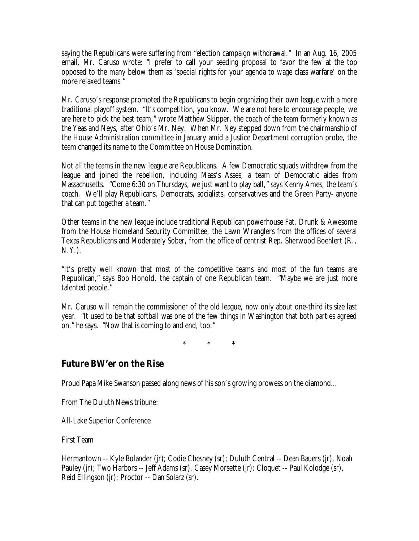saying the Republicans were suffering from "election campaign withdrawal." In an Aug. 16, 2005 email, Mr. Caruso wrote: "I prefer to call your seeding proposal to favor the few at the top opposed to the many below them as 'special rights for your agenda to wage class warfare' on the more relaxed teams."

Mr. Caruso's response prompted the Republicans to begin organizing their own league with a more traditional playoff system. "It's competition, you know. We are not here to encourage people, we are here to pick the best team," wrote Matthew Skipper, the coach of the team formerly known as the Yeas and Neys, after Ohio's Mr. Ney. When Mr. Ney stepped down from the chairmanship of the House Administration committee in January amid a Justice Department corruption probe, the team changed its name to the Committee on House Domination.

Not all the teams in the new league are Republicans. A few Democratic squads withdrew from the league and joined the rebellion, including Mass's Asses, a team of Democratic aides from Massachusetts. "Come 6:30 on Thursdays, we just want to play ball," says Kenny Ames, the team's coach. We'll play Republicans, Democrats, socialists, conservatives and the Green Party- anyone that can put together a team."

Other teams in the new league include traditional Republican powerhouse Fat, Drunk & Awesome from the House Homeland Security Committee, the Lawn Wranglers from the offices of several Texas Republicans and Moderately Sober, from the office of centrist Rep. Sherwood Boehlert (R., N.Y.).

"It's pretty well known that most of the competitive teams and most of the fun teams are Republican," says Bob Honold, the captain of one Republican team. "Maybe we are just more talented people."

Mr. Caruso will remain the commissioner of the old league, now only about one-third its size last year. "It used to be that softball was one of the few things in Washington that both parties agreed on," he says. "Now that is coming to and end, too."

\* \* \*

### **Future BW'er on the Rise**

Proud Papa Mike Swanson passed along news of his son's growing prowess on the diamond…

From The Duluth News tribune:

All-Lake Superior Conference

First Team

Hermantown -- Kyle Bolander (jr); Codie Chesney (sr); Duluth Central -- Dean Bauers (jr), Noah Pauley (ir); Two Harbors -- Jeff Adams (sr), Casey Morsette (ir); Cloquet -- Paul Kolodge (sr), Reid Ellingson (jr); Proctor -- Dan Solarz (sr).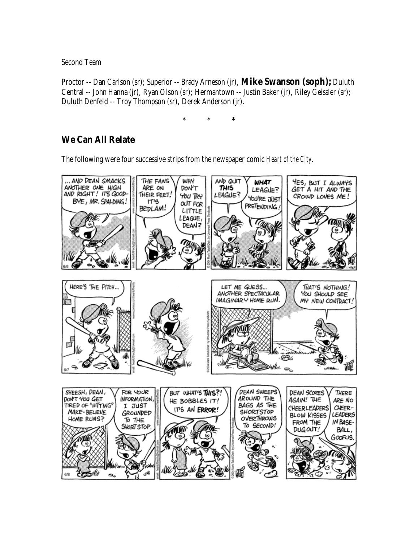Second Team

Proctor -- Dan Carlson (sr); Superior -- Brady Arneson (jr), **Mike Swanson (soph);** Duluth Central -- John Hanna (jr), Ryan Olson (sr); Hermantown -- Justin Baker (jr), Riley Geissler (sr); Duluth Denfeld -- Troy Thompson (sr), Derek Anderson (jr).

\* \* \*

## **We Can All Relate**

The following were four successive strips from the newspaper comic *Heart of the City*.

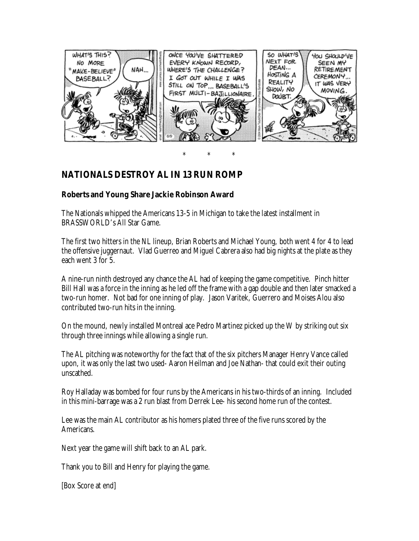

## **NATIONALS DESTROY AL IN 13 RUN ROMP**

#### **Roberts and Young Share Jackie Robinson Award**

The Nationals whipped the Americans 13-5 in Michigan to take the latest installment in BRASSWORLD's All Star Game.

The first two hitters in the NL lineup, Brian Roberts and Michael Young, both went 4 for 4 to lead the offensive juggernaut. Vlad Guerreo and Miguel Cabrera also had big nights at the plate as they each went 3 for 5.

A nine-run ninth destroyed any chance the AL had of keeping the game competitive. Pinch hitter Bill Hall was a force in the inning as he led off the frame with a gap double and then later smacked a two-run homer. Not bad for one inning of play. Jason Varitek, Guerrero and Moises Alou also contributed two-run hits in the inning.

On the mound, newly installed Montreal ace Pedro Martinez picked up the W by striking out six through three innings while allowing a single run.

The AL pitching was noteworthy for the fact that of the six pitchers Manager Henry Vance called upon, it was only the last two used- Aaron Heilman and Joe Nathan- that could exit their outing unscathed.

Roy Halladay was bombed for four runs by the Americans in his two-thirds of an inning. Included in this mini-barrage was a 2 run blast from Derrek Lee- his second home run of the contest.

Lee was the main AL contributor as his homers plated three of the five runs scored by the Americans.

Next year the game will shift back to an AL park.

Thank you to Bill and Henry for playing the game.

[Box Score at end]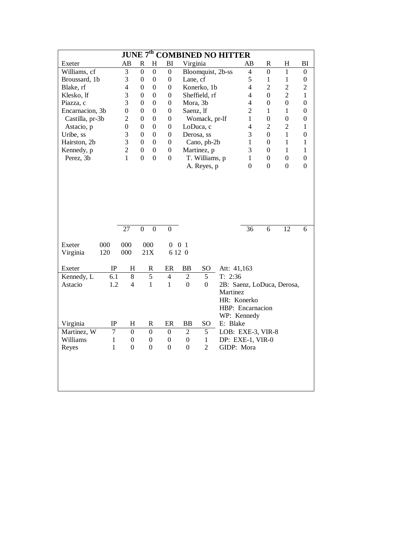| <b>JUNE 7<sup>th</sup> COMBINED NO HITTER</b> |              |                  |                  |                  |                  |                                          |                |                            |                  |                  |                  |                  |
|-----------------------------------------------|--------------|------------------|------------------|------------------|------------------|------------------------------------------|----------------|----------------------------|------------------|------------------|------------------|------------------|
| Exeter                                        |              | AB               | $\mathbf R$      | H                | BI               | Virginia                                 |                |                            | AВ               | R                | H                | BI               |
| Williams, cf                                  |              | $\overline{3}$   | $\boldsymbol{0}$ | $\Omega$         | $\boldsymbol{0}$ | Bloomquist, 2b-ss                        |                |                            | $\overline{4}$   | $\overline{0}$   | 1                | 0                |
| Broussard, 1b                                 |              | 3                | $\boldsymbol{0}$ | $\boldsymbol{0}$ | $\boldsymbol{0}$ | Lane, cf                                 |                |                            | 5                | $\mathbf{1}$     | $\mathbf{1}$     | $\boldsymbol{0}$ |
| Blake, rf                                     |              | 4                | 0                | $\theta$         | $\mathbf{0}$     | Konerko, 1b                              |                |                            | $\overline{4}$   | $\overline{2}$   | $\overline{c}$   | $\overline{c}$   |
| Klesko, lf                                    |              | 3                | 0                | $\overline{0}$   | $\overline{0}$   |                                          | Sheffield, rf  |                            |                  | $\overline{0}$   | $\overline{2}$   | $\mathbf{1}$     |
| Piazza, c                                     |              | 3                | $\boldsymbol{0}$ | $\boldsymbol{0}$ | $\boldsymbol{0}$ |                                          | Mora, 3b       |                            |                  | $\boldsymbol{0}$ | $\boldsymbol{0}$ | $\boldsymbol{0}$ |
| Encarnacion, 3b                               |              | $\boldsymbol{0}$ | 0                | $\overline{0}$   | $\boldsymbol{0}$ | Saenz, lf                                |                |                            | $\overline{2}$   | 1                | $\mathbf{1}$     | $\boldsymbol{0}$ |
| Castilla, pr-3b                               |              | $\overline{c}$   | 0                | $\overline{0}$   | $\boldsymbol{0}$ |                                          | Womack, pr-lf  |                            | $\mathbf{1}$     | $\boldsymbol{0}$ | $\boldsymbol{0}$ | $\boldsymbol{0}$ |
| Astacio, p                                    |              | $\theta$         | 0                | $\overline{0}$   | $\boldsymbol{0}$ |                                          | LoDuca, c      |                            | $\overline{4}$   | $\overline{2}$   | $\overline{2}$   | $\mathbf{1}$     |
| Uribe, ss                                     |              | 3                | $\overline{0}$   | $\overline{0}$   | $\boldsymbol{0}$ |                                          | Derosa, ss     |                            | $\mathfrak{Z}$   | $\mathbf{0}$     | $\mathbf{1}$     | $\boldsymbol{0}$ |
| Hairston, 2b                                  |              | $\overline{3}$   | $\overline{0}$   | $\overline{0}$   | $\boldsymbol{0}$ | Cano, ph-2b                              |                |                            | $\mathbf{1}$     | $\overline{0}$   | $\mathbf{1}$     | $\mathbf{1}$     |
| Kennedy, p                                    |              | $\overline{2}$   | 0                | $\overline{0}$   | $\boldsymbol{0}$ | Martinez, p                              |                |                            | 3                | $\overline{0}$   | $\mathbf{1}$     | $\mathbf{1}$     |
| Perez, 3b                                     |              | 1                | $\overline{0}$   | $\mathbf{0}$     | $\mathbf{0}$     | T. Williams, p                           |                |                            | $\mathbf{1}$     | $\overline{0}$   | $\overline{0}$   | $\boldsymbol{0}$ |
|                                               |              |                  |                  |                  |                  | A. Reyes, p                              |                |                            | $\boldsymbol{0}$ | $\overline{0}$   | $\overline{0}$   | $\overline{0}$   |
|                                               |              |                  |                  |                  |                  |                                          |                |                            |                  |                  |                  |                  |
|                                               |              |                  |                  |                  |                  |                                          |                |                            |                  |                  |                  |                  |
|                                               |              |                  |                  |                  |                  |                                          |                |                            |                  |                  |                  |                  |
|                                               |              |                  |                  |                  |                  |                                          |                |                            |                  |                  |                  |                  |
|                                               |              | 27               | $\boldsymbol{0}$ | $\mathbf{0}$     | $\boldsymbol{0}$ |                                          |                |                            | 36               | 6                | 12               | 6                |
| Exeter                                        | 000          | 000              | 000              |                  |                  | $0\quad 0\quad 1$                        |                |                            |                  |                  |                  |                  |
| Virginia                                      | 120          | 000              | 21X              |                  |                  | 6 12 0                                   |                |                            |                  |                  |                  |                  |
| Exeter                                        | IP           | $H_{\rm}$        |                  | $\mathbf R$      | ER               | <b>BB</b>                                | SO             | Att: 41,163                |                  |                  |                  |                  |
| Kennedy, L                                    | 6.1          | $\overline{8}$   |                  | $\overline{5}$   | $\overline{4}$   | $\overline{2}$                           | 5              | T: 2:36                    |                  |                  |                  |                  |
| Astacio                                       | 1.2          | $\overline{4}$   |                  | $\mathbf{1}$     | $\mathbf{1}$     | $\boldsymbol{0}$                         | $\overline{0}$ | 2B: Saenz, LoDuca, Derosa, |                  |                  |                  |                  |
|                                               |              |                  |                  |                  |                  |                                          |                | Martinez                   |                  |                  |                  |                  |
|                                               |              |                  |                  |                  |                  |                                          |                | HR: Konerko                |                  |                  |                  |                  |
|                                               |              |                  |                  |                  |                  |                                          |                | HBP: Encarnacion           |                  |                  |                  |                  |
|                                               |              |                  |                  |                  |                  |                                          |                | WP: Kennedy                |                  |                  |                  |                  |
| Virginia                                      | IP           | $H_{\rm}$        |                  | R                | ER               | <b>BB</b>                                | SO             | E: Blake                   |                  |                  |                  |                  |
| Martinez, W                                   | 7            | $\overline{0}$   |                  | $\overline{0}$   | $\mathbf{0}$     | $\overline{2}$                           | $\overline{5}$ | LOB: EXE-3, VIR-8          |                  |                  |                  |                  |
| Williams                                      | $\mathbf{1}$ | $\boldsymbol{0}$ |                  | $\boldsymbol{0}$ | $\boldsymbol{0}$ | $\boldsymbol{0}$<br>$\mathbf{1}$         |                |                            | DP: EXE-1, VIR-0 |                  |                  |                  |
| Reyes                                         | $\mathbf{1}$ | $\Omega$         |                  | $\theta$         | $\theta$         | $\overline{2}$<br>GIDP: Mora<br>$\Omega$ |                |                            |                  |                  |                  |                  |
|                                               |              |                  |                  |                  |                  |                                          |                |                            |                  |                  |                  |                  |
|                                               |              |                  |                  |                  |                  |                                          |                |                            |                  |                  |                  |                  |
|                                               |              |                  |                  |                  |                  |                                          |                |                            |                  |                  |                  |                  |
|                                               |              |                  |                  |                  |                  |                                          |                |                            |                  |                  |                  |                  |
|                                               |              |                  |                  |                  |                  |                                          |                |                            |                  |                  |                  |                  |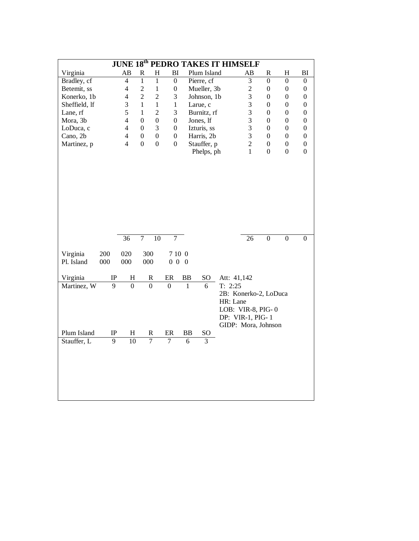| <b>JUNE 18<sup>th</sup> PEDRO TAKES IT HIMSELF</b> |                |                          |                  |                  |                             |                |                |                                                                                                              |                         |                  |                  |                  |
|----------------------------------------------------|----------------|--------------------------|------------------|------------------|-----------------------------|----------------|----------------|--------------------------------------------------------------------------------------------------------------|-------------------------|------------------|------------------|------------------|
| Virginia                                           |                | AB                       | $\mathbf R$      | $\, {\rm H}$     | BI                          |                | Plum Island    |                                                                                                              | AВ                      | R                | Η                | BI               |
| Bradley, cf                                        |                | $\overline{4}$           | $\mathbf{1}$     | 1                | $\theta$                    |                | Pierre, cf     |                                                                                                              | $\overline{3}$          | $\overline{0}$   | $\theta$         | $\theta$         |
| Betemit, ss                                        |                | $\overline{\mathcal{L}}$ | $\overline{2}$   | $\mathbf{1}$     | $\boldsymbol{0}$            |                | Mueller, 3b    |                                                                                                              | $\overline{c}$          | $\boldsymbol{0}$ | $\boldsymbol{0}$ | $\boldsymbol{0}$ |
| Konerko, 1b                                        |                | $\overline{4}$           | $\overline{2}$   | $\overline{2}$   | 3                           |                | Johnson, 1b    |                                                                                                              | 3                       | $\mathbf{0}$     | $\overline{0}$   | $\mathbf{0}$     |
| Sheffield, lf                                      |                | 3                        | $\mathbf{1}$     | $\,1$            | 1                           |                | Larue, c       |                                                                                                              | 3                       | $\boldsymbol{0}$ | $\boldsymbol{0}$ | $\boldsymbol{0}$ |
| Lane, rf                                           |                | 5                        | $\mathbf{1}$     | $\overline{2}$   | 3                           |                | Burnitz, rf    |                                                                                                              | $\overline{\mathbf{3}}$ | $\overline{0}$   | $\boldsymbol{0}$ | $\boldsymbol{0}$ |
| Mora, 3b                                           |                | $\overline{4}$           | $\overline{0}$   | $\boldsymbol{0}$ | $\boldsymbol{0}$            |                | Jones, lf      |                                                                                                              | $\overline{\mathbf{3}}$ | $\boldsymbol{0}$ | $\boldsymbol{0}$ | $\boldsymbol{0}$ |
| LoDuca, c                                          |                | 4                        | $\mathbf{0}$     | 3                | $\overline{0}$              |                | Izturis, ss    |                                                                                                              | 3                       | $\overline{0}$   | $\boldsymbol{0}$ | $\boldsymbol{0}$ |
| Cano, 2b                                           |                | 4                        | $\boldsymbol{0}$ | $\boldsymbol{0}$ | 0                           |                | Harris, 2b     |                                                                                                              | $\overline{\mathbf{3}}$ | $\overline{0}$   | $\boldsymbol{0}$ | 0                |
| Martinez, p                                        |                | $\overline{4}$           | $\mathbf{0}$     | $\boldsymbol{0}$ | $\overline{0}$              |                | Stauffer, p    |                                                                                                              | $\overline{2}$          | $\boldsymbol{0}$ | $\boldsymbol{0}$ | $\boldsymbol{0}$ |
|                                                    |                |                          |                  |                  |                             |                | Phelps, ph     |                                                                                                              | $\mathbf{1}$            | $\boldsymbol{0}$ | $\mathbf{0}$     | $\boldsymbol{0}$ |
|                                                    |                | 36                       | $\overline{7}$   | 10               | $\overline{7}$              |                |                |                                                                                                              | 26                      | $\boldsymbol{0}$ | $\mathbf{0}$     | $\mathbf{0}$     |
|                                                    |                |                          |                  |                  |                             |                |                |                                                                                                              |                         |                  |                  |                  |
| Virginia<br>Pl. Island                             | 200<br>000     | 020<br>000               | 300<br>000       |                  | 7 10 0<br>$0\quad 0\quad 0$ |                |                |                                                                                                              |                         |                  |                  |                  |
|                                                    |                |                          |                  |                  |                             |                |                |                                                                                                              |                         |                  |                  |                  |
| Virginia                                           | $\rm IP$       | $H_{\rm}$                | $\mathbf R$      |                  | ER                          | <b>BB</b>      | SO             | Att: 41,142                                                                                                  |                         |                  |                  |                  |
| Martinez, W                                        | $\overline{9}$ | $\overline{0}$           | $\overline{0}$   |                  | $\overline{0}$              | $\overline{1}$ | 6              | T: 2:25<br>2B: Konerko-2, LoDuca<br>HR: Lane<br>LOB: VIR-8, PIG-0<br>DP: VIR-1, PIG-1<br>GIDP: Mora, Johnson |                         |                  |                  |                  |
| Plum Island                                        | $\rm IP$       | $H_{\rm}$                | $\mathbf R$      |                  | ER                          | <b>BB</b>      | SO             |                                                                                                              |                         |                  |                  |                  |
| Stauffer, L                                        | 9              | 10                       | $\overline{7}$   |                  | $\overline{7}$              | 6              | $\overline{3}$ |                                                                                                              |                         |                  |                  |                  |
|                                                    |                |                          |                  |                  |                             |                |                |                                                                                                              |                         |                  |                  |                  |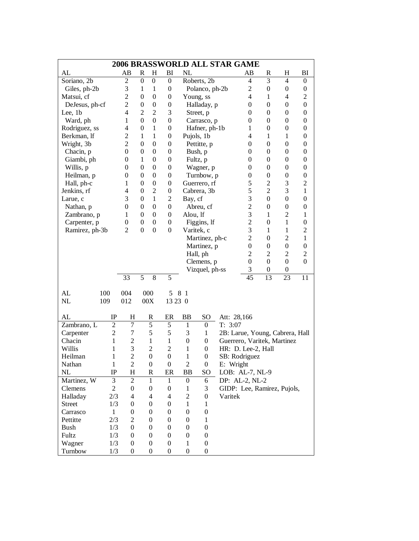| 2006 BRASSWORLD ALL STAR GAME |                |                          |                  |                          |                  |                   |                                     |                             |                                 |                  |                          |                  |
|-------------------------------|----------------|--------------------------|------------------|--------------------------|------------------|-------------------|-------------------------------------|-----------------------------|---------------------------------|------------------|--------------------------|------------------|
| AL                            |                | AВ                       | R                | H                        | BI               | NL                |                                     |                             | AВ                              | R                | Η                        | BI               |
| Soriano, 2b                   |                | $\overline{2}$           | $\overline{0}$   | $\boldsymbol{0}$         | $\boldsymbol{0}$ |                   | Roberts, 2b                         |                             | 4                               | $\overline{3}$   | $\overline{\mathcal{L}}$ | $\boldsymbol{0}$ |
| Giles, ph-2b                  |                | 3                        | $\mathbf{1}$     | $\mathbf{1}$             | 0                | Polanco, ph-2b    |                                     |                             | $\overline{c}$                  | $\boldsymbol{0}$ | $\boldsymbol{0}$         | $\boldsymbol{0}$ |
| Matsui, cf                    |                | $\overline{2}$           | $\overline{0}$   | $\boldsymbol{0}$         | $\boldsymbol{0}$ | Young, ss         |                                     |                             | $\overline{4}$                  | $\mathbf{1}$     | $\overline{4}$           | $\overline{c}$   |
| DeJesus, ph-cf                |                | $\overline{2}$           | $\overline{0}$   | $\boldsymbol{0}$         | $\boldsymbol{0}$ | Halladay, p       |                                     |                             | $\mathbf{0}$                    | $\theta$         | $\overline{0}$           | $\boldsymbol{0}$ |
| Lee, 1b                       |                | $\overline{4}$           | $\overline{2}$   | $\overline{2}$           | 3                | Street, p         |                                     |                             | $\overline{0}$                  | $\overline{0}$   | $\overline{0}$           | $\boldsymbol{0}$ |
| Ward, ph                      |                | 1                        | $\overline{0}$   | $\boldsymbol{0}$         | $\boldsymbol{0}$ | Carrasco, p       |                                     |                             | $\boldsymbol{0}$                | $\overline{0}$   | $\overline{0}$           | $\boldsymbol{0}$ |
| Rodriguez, ss                 |                | $\overline{4}$           | 0                | 1                        | $\boldsymbol{0}$ | Hafner, ph-1b     |                                     |                             | $\mathbf{1}$                    | $\overline{0}$   | $\boldsymbol{0}$         | $\boldsymbol{0}$ |
| Berkman, If                   |                | $\overline{c}$           | $\mathbf{1}$     | 1                        | $\boldsymbol{0}$ | Pujols, 1b        |                                     |                             | $\overline{4}$                  | 1                | $\mathbf{1}$             | $\boldsymbol{0}$ |
| Wright, 3b                    |                | $\overline{2}$           | $\overline{0}$   | $\theta$                 | $\boldsymbol{0}$ | Pettitte, p       |                                     |                             | $\overline{0}$                  | $\overline{0}$   | $\overline{0}$           | $\overline{0}$   |
| Chacin, p                     |                | $\boldsymbol{0}$         | $\overline{0}$   | $\boldsymbol{0}$         | $\boldsymbol{0}$ | Bush, p           |                                     |                             | $\overline{0}$                  | $\overline{0}$   | $\boldsymbol{0}$         | $\boldsymbol{0}$ |
| Giambi, ph                    |                | $\boldsymbol{0}$         | $\mathbf{1}$     | $\boldsymbol{0}$         | $\boldsymbol{0}$ | Fultz, p          |                                     |                             | 0                               | $\mathbf{0}$     | $\boldsymbol{0}$         | $\boldsymbol{0}$ |
| Willis, p                     |                | $\theta$                 | $\boldsymbol{0}$ | $\boldsymbol{0}$         | $\boldsymbol{0}$ | Wagner, p         |                                     |                             | 0                               | $\mathbf{0}$     | $\boldsymbol{0}$         | $\boldsymbol{0}$ |
| Heilman, p                    |                | $\boldsymbol{0}$         | $\boldsymbol{0}$ | $\boldsymbol{0}$         | $\boldsymbol{0}$ | Turnbow, p        |                                     |                             | $\boldsymbol{0}$                | $\boldsymbol{0}$ | $\boldsymbol{0}$         | $\boldsymbol{0}$ |
| Hall, ph-c                    |                | 1                        | $\boldsymbol{0}$ | $\boldsymbol{0}$         | 0                | Guerrero, rf      |                                     |                             | 5                               | $\overline{c}$   | 3                        | $\overline{c}$   |
| Jenkins, rf                   |                | 4                        | $\boldsymbol{0}$ | $\overline{2}$           | $\boldsymbol{0}$ | Cabrera, 3b       |                                     |                             | 5                               | $\overline{2}$   | 3                        | $\mathbf{1}$     |
| Larue, c                      |                | 3                        | $\overline{0}$   | $\mathbf{1}$             | $\overline{c}$   | Bay, cf           |                                     |                             | 3                               | $\boldsymbol{0}$ | $\boldsymbol{0}$         | $\boldsymbol{0}$ |
| Nathan, p                     |                | $\overline{0}$           | $\boldsymbol{0}$ | $\boldsymbol{0}$         | $\boldsymbol{0}$ |                   | Abreu, cf                           |                             | $\overline{c}$                  | $\boldsymbol{0}$ | $\boldsymbol{0}$         | $\boldsymbol{0}$ |
| Zambrano, p                   |                | 1                        | $\boldsymbol{0}$ | $\boldsymbol{0}$         | $\boldsymbol{0}$ | Alou, lf          |                                     |                             | 3                               | 1                | $\overline{2}$           | $\mathbf{1}$     |
| Carpenter, p                  |                | $\boldsymbol{0}$         | 0                | $\boldsymbol{0}$         | $\boldsymbol{0}$ | Figgins, If       |                                     |                             | $\overline{2}$                  | $\boldsymbol{0}$ | $\mathbf{1}$             | $\boldsymbol{0}$ |
| Ramirez, ph-3b                |                | $\overline{c}$           | $\boldsymbol{0}$ | $\boldsymbol{0}$         | $\boldsymbol{0}$ | Varitek, c        |                                     |                             | 3                               | 1                | 1                        | $\overline{c}$   |
|                               |                |                          |                  |                          |                  | Martinez, ph-c    |                                     |                             | $\overline{2}$                  | $\mathbf{0}$     | $\overline{c}$           | $\mathbf{1}$     |
|                               |                |                          |                  |                          |                  |                   | Martinez, p                         |                             | $\boldsymbol{0}$                | $\mathbf{0}$     | $\boldsymbol{0}$         | $\boldsymbol{0}$ |
|                               |                |                          |                  |                          |                  |                   | Hall, ph                            |                             | $\overline{2}$                  | $\overline{2}$   | $\overline{2}$           | $\overline{c}$   |
|                               |                |                          |                  |                          |                  |                   | Clemens, p                          |                             | $\mathbf{0}$                    | $\overline{0}$   | $\boldsymbol{0}$         | $\overline{0}$   |
|                               |                |                          |                  |                          |                  |                   | Vizquel, ph-ss                      |                             | 3                               | $\mathbf{0}$     | $\theta$                 |                  |
|                               |                | 33                       | 5                | 8                        | 5                |                   |                                     |                             | $\overline{45}$                 | 13               | 23                       | 11               |
|                               |                |                          |                  |                          |                  |                   |                                     |                             |                                 |                  |                          |                  |
| AL                            | 100<br>004     |                          |                  | 000                      | 5                | 8<br>$\mathbf{1}$ |                                     |                             |                                 |                  |                          |                  |
| NL<br>109                     |                | 012                      |                  | 13 23 0<br>00X           |                  |                   |                                     |                             |                                 |                  |                          |                  |
|                               |                |                          |                  |                          |                  |                   |                                     |                             |                                 |                  |                          |                  |
| AL                            | $_{\rm IP}$    | H                        |                  | R                        | ER               | <b>BB</b>         | <sub>SO</sub>                       | Att: 28,166                 |                                 |                  |                          |                  |
| Zambrano, L                   | $\overline{2}$ | $\tau$                   |                  | $\overline{5}$           | 5                | $\mathbf{1}$      | $\boldsymbol{0}$                    | T: 3:07                     |                                 |                  |                          |                  |
| Carpenter                     | $\overline{c}$ | 7                        |                  | 5                        | 5                | 3                 | $\mathbf{1}$                        |                             | 2B: Larue, Young, Cabrera, Hall |                  |                          |                  |
| Chacin                        | 1              | $\overline{c}$           |                  | $\mathbf{1}$             | 1                | $\boldsymbol{0}$  | $\boldsymbol{0}$                    | Guerrero, Varitek, Martinez |                                 |                  |                          |                  |
| Willis                        | 1              | 3                        |                  | $\overline{2}$           | $\overline{2}$   |                   | 1<br>$\theta$<br>HR: D. Lee-2, Hall |                             |                                 |                  |                          |                  |
| Heilman                       | $\mathbf{1}$   | $\overline{c}$           |                  | $\mathbf{0}$             | $\boldsymbol{0}$ | $\mathbf{1}$      | $\theta$                            |                             | SB: Rodriguez                   |                  |                          |                  |
| Nathan                        | $\mathbf{1}$   | $\overline{c}$           |                  | $\boldsymbol{0}$         | $\boldsymbol{0}$ | $\boldsymbol{2}$  | $\boldsymbol{0}$                    | E: Wright                   |                                 |                  |                          |                  |
| NL                            | IP             | H                        |                  | R                        | ER               | BB                | SO                                  | LOB: AL-7, NL-9             |                                 |                  |                          |                  |
| Martinez, W                   | 3              | $\overline{2}$           |                  | $\mathbf{1}$             | 1                | $\mathbf{0}$      | 6                                   | DP: AL-2, NL-2              |                                 |                  |                          |                  |
| Clemens                       | $\overline{c}$ | $\boldsymbol{0}$         |                  | $\boldsymbol{0}$         | $\boldsymbol{0}$ | $\mathbf{1}$      | 3                                   | GIDP: Lee, Ramirez, Pujols, |                                 |                  |                          |                  |
| Halladay                      | 2/3            | $\overline{\mathcal{L}}$ |                  | $\overline{\mathcal{L}}$ | $\overline{4}$   | $\overline{c}$    | $\boldsymbol{0}$                    | Varitek                     |                                 |                  |                          |                  |
| <b>Street</b>                 | 1/3            | $\boldsymbol{0}$         |                  | $\boldsymbol{0}$         | $\boldsymbol{0}$ | $\mathbf{1}$      | $\mathbf{1}$                        |                             |                                 |                  |                          |                  |
| Carrasco                      | $\mathbf{1}$   | $\boldsymbol{0}$         |                  | $\boldsymbol{0}$         | $\boldsymbol{0}$ | $\boldsymbol{0}$  | $\boldsymbol{0}$                    |                             |                                 |                  |                          |                  |
| Pettitte                      | 2/3            | $\mathbf{2}$             |                  | $\boldsymbol{0}$         | $\boldsymbol{0}$ | $\boldsymbol{0}$  | $\mathbf{1}$                        |                             |                                 |                  |                          |                  |
| Bush                          | 1/3            | $\boldsymbol{0}$         |                  | $\boldsymbol{0}$         | $\boldsymbol{0}$ | $\boldsymbol{0}$  | $\boldsymbol{0}$                    |                             |                                 |                  |                          |                  |
| Fultz                         | 1/3            | $\boldsymbol{0}$         |                  | $\boldsymbol{0}$         | $\boldsymbol{0}$ | $\boldsymbol{0}$  | $\boldsymbol{0}$                    |                             |                                 |                  |                          |                  |
| Wagner                        | 1/3            | $\boldsymbol{0}$         |                  | $\boldsymbol{0}$         | $\boldsymbol{0}$ | 1                 | $\boldsymbol{0}$                    |                             |                                 |                  |                          |                  |
| Turnbow                       | 1/3            | $\boldsymbol{0}$         |                  | $\boldsymbol{0}$         | $\boldsymbol{0}$ | $\boldsymbol{0}$  | $\boldsymbol{0}$                    |                             |                                 |                  |                          |                  |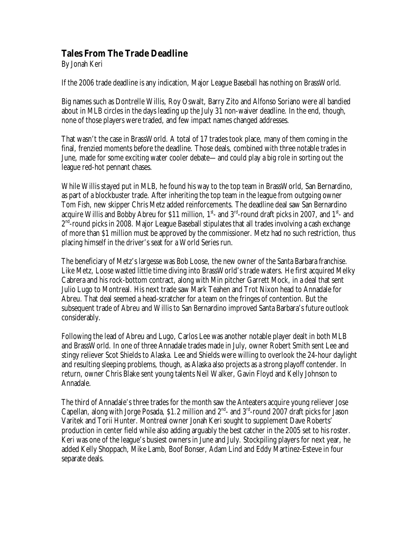## **Tales From The Trade Deadline**

By Jonah Keri

If the 2006 trade deadline is any indication, Major League Baseball has nothing on BrassWorld.

Big names such as Dontrelle Willis, Roy Oswalt, Barry Zito and Alfonso Soriano were all bandied about in MLB circles in the days leading up the July 31 non-waiver deadline. In the end, though, none of those players were traded, and few impact names changed addresses.

That wasn't the case in BrassWorld. A total of 17 trades took place, many of them coming in the final, frenzied moments before the deadline. Those deals, combined with three notable trades in June, made for some exciting water cooler debate— and could play a big role in sorting out the league red-hot pennant chases.

While Willis stayed put in MLB, he found his way to the top team in BrassWorld, San Bernardino, as part of a blockbuster trade. After inheriting the top team in the league from outgoing owner Tom Fish, new skipper Chris Metz added reinforcements. The deadline deal saw San Bernardino acquire Willis and Bobby Abreu for \$11 million,  $1^\text{st}$ - and  $3^\text{rd}$ -round draft picks in 2007, and  $1^\text{st}$ - and  $2^{\mathrm{nd}}$ -round picks in 2008. Major League Baseball stipulates that all trades involving a cash exchange of more than \$1 million must be approved by the commissioner. Metz had no such restriction, thus placing himself in the driver's seat for a World Series run.

The beneficiary of Metz's largesse was Bob Loose, the new owner of the Santa Barbara franchise. Like Metz, Loose wasted little time diving into BrassWorld's trade waters. He first acquired Melky Cabrera and his rock-bottom contract, along with Min pitcher Garrett Mock, in a deal that sent Julio Lugo to Montreal. His next trade saw Mark Teahen and Trot Nixon head to Annadale for Abreu. That deal seemed a head-scratcher for a team on the fringes of contention. But the subsequent trade of Abreu and Willis to San Bernardino improved Santa Barbara's future outlook considerably.

Following the lead of Abreu and Lugo, Carlos Lee was another notable player dealt in both MLB and BrassWorld. In one of three Annadale trades made in July, owner Robert Smith sent Lee and stingy reliever Scot Shields to Alaska. Lee and Shields were willing to overlook the 24-hour daylight and resulting sleeping problems, though, as Alaska also projects as a strong playoff contender. In return, owner Chris Blake sent young talents Neil Walker, Gavin Floyd and Kelly Johnson to Annadale.

The third of Annadale's three trades for the month saw the Anteaters acquire young reliever Jose Capellan, along with Jorge Posada, \$1.2 million and  $2^{nd}$ - and  $3^{rd}$ -round 2007 draft picks for Jason Varitek and Torii Hunter. Montreal owner Jonah Keri sought to supplement Dave Roberts' production in center field while also adding arguably the best catcher in the 2005 set to his roster. Keri was one of the league's busiest owners in June and July. Stockpiling players for next year, he added Kelly Shoppach, Mike Lamb, Boof Bonser, Adam Lind and Eddy Martinez-Esteve in four separate deals.